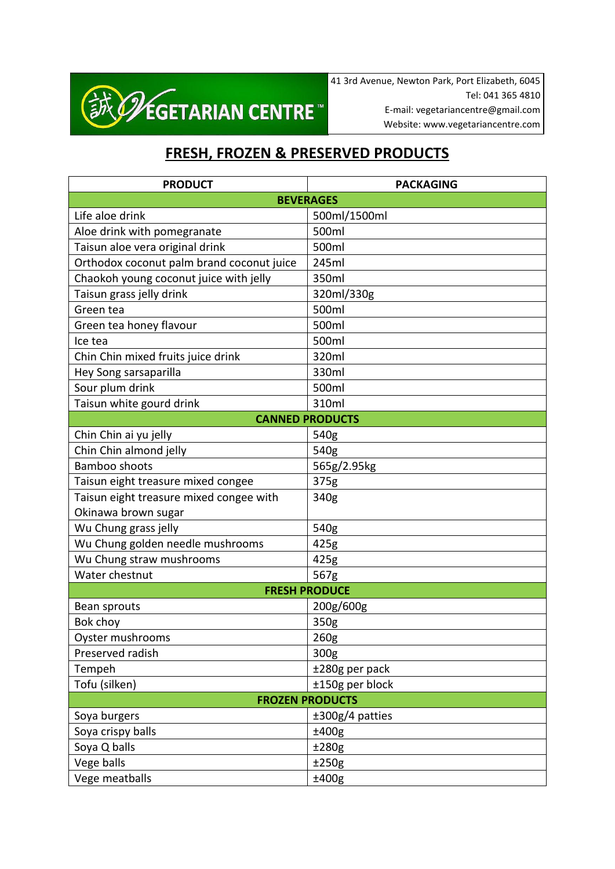

41 3rd Avenue, Newton Park, Port Elizabeth, 6045 Tel: 041 365 4810 E-mail: vegetariancentre@gmail.com Website: www.vegetariancentre.com

## **FRESH, FROZEN & PRESERVED PRODUCTS**

| <b>PRODUCT</b>                            | <b>PACKAGING</b> |
|-------------------------------------------|------------------|
| <b>BEVERAGES</b>                          |                  |
| Life aloe drink                           | 500ml/1500ml     |
| Aloe drink with pomegranate               | 500ml            |
| Taisun aloe vera original drink           | 500ml            |
| Orthodox coconut palm brand coconut juice | 245ml            |
| Chaokoh young coconut juice with jelly    | 350ml            |
| Taisun grass jelly drink                  | 320ml/330g       |
| Green tea                                 | 500ml            |
| Green tea honey flavour                   | 500ml            |
| Ice tea                                   | 500ml            |
| Chin Chin mixed fruits juice drink        | 320ml            |
| Hey Song sarsaparilla                     | 330ml            |
| Sour plum drink                           | 500ml            |
| Taisun white gourd drink                  | 310ml            |
| <b>CANNED PRODUCTS</b>                    |                  |
| Chin Chin ai yu jelly                     | 540g             |
| Chin Chin almond jelly                    | 540g             |
| <b>Bamboo shoots</b>                      | 565g/2.95kg      |
| Taisun eight treasure mixed congee        | 375g             |
| Taisun eight treasure mixed congee with   | 340g             |
| Okinawa brown sugar                       |                  |
| Wu Chung grass jelly                      | 540g             |
| Wu Chung golden needle mushrooms          | 425g             |
| Wu Chung straw mushrooms                  | 425g             |
| Water chestnut                            | 567g             |
| <b>FRESH PRODUCE</b>                      |                  |
| Bean sprouts                              | 200g/600g        |
| Bok choy                                  | 350g             |
| Oyster mushrooms                          | 260g             |
| Preserved radish                          | 300g             |
| Tempeh                                    | ±280g per pack   |
| Tofu (silken)                             | ±150g per block  |
| <b>FROZEN PRODUCTS</b>                    |                  |
| Soya burgers                              | ±300g/4 patties  |
| Soya crispy balls                         | ±400g            |
| Soya Q balls                              | ±280g            |
| Vege balls                                | ±250g            |
| Vege meatballs                            | ±400g            |